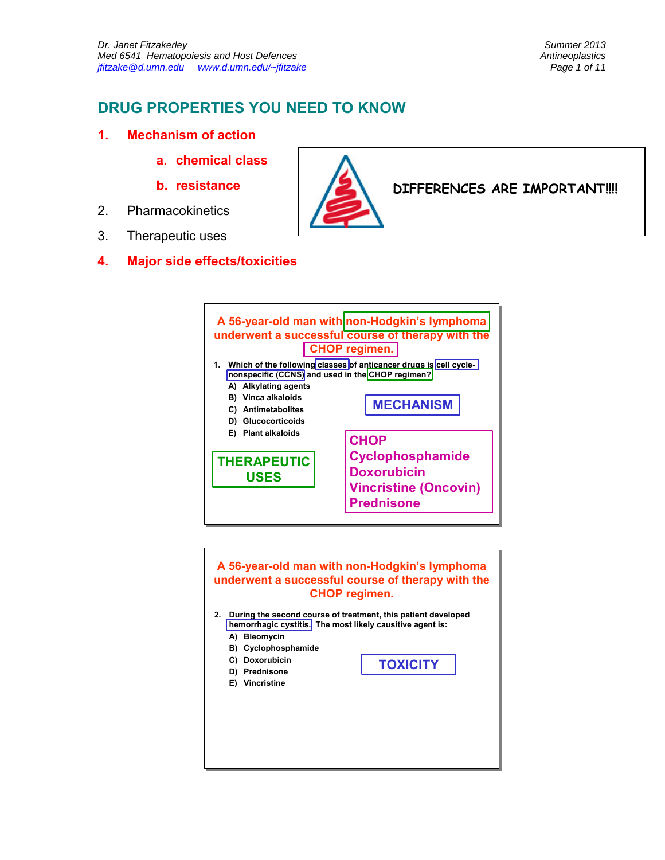## **DRUG PROPERTIES YOU NEED TO KNOW**

- **1. Mechanism of action** 
	- **a. chemical class**
	- **b. resistance**
- 2. Pharmacokinetics
- 3. Therapeutic uses
- **4. Major side effects/toxicities**





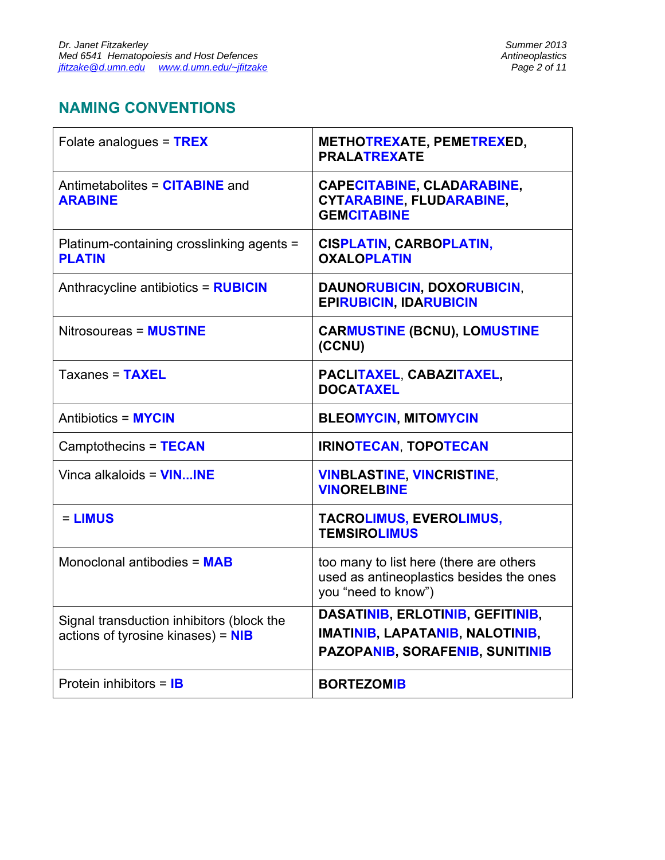# **NAMING CONVENTIONS**

| Folate analogues = TREX                                                         | METHOTREXATE, PEMETREXED,<br><b>PRALATREXATE</b>                                                                     |
|---------------------------------------------------------------------------------|----------------------------------------------------------------------------------------------------------------------|
| Antimetabolites = CITABINE and<br><b>ARABINE</b>                                | <b>CAPECITABINE, CLADARABINE,</b><br><b>CYTARABINE, FLUDARABINE,</b><br><b>GEMCITABINE</b>                           |
| Platinum-containing crosslinking agents =<br><b>PLATIN</b>                      | <b>CISPLATIN, CARBOPLATIN,</b><br><b>OXALOPLATIN</b>                                                                 |
| Anthracycline antibiotics = RUBICIN                                             | DAUNORUBICIN, DOXORUBICIN,<br><b>EPIRUBICIN, IDARUBICIN</b>                                                          |
| Nitrosoureas = MUSTINE                                                          | <b>CARMUSTINE (BCNU), LOMUSTINE</b><br>(CCNU)                                                                        |
| Taxanes = TAXEL                                                                 | PACLITAXEL, CABAZITAXEL,<br><b>DOCATAXEL</b>                                                                         |
| <b>Antibiotics = MYCIN</b>                                                      | <b>BLEOMYCIN, MITOMYCIN</b>                                                                                          |
| Camptothecins = TECAN                                                           | <b>IRINOTECAN, TOPOTECAN</b>                                                                                         |
| Vinca alkaloids = $VININE$                                                      | <b>VINBLASTINE, VINCRISTINE,</b><br><b>VINORELBINE</b>                                                               |
| $=$ LIMUS                                                                       | <b>TACROLIMUS, EVEROLIMUS,</b><br><b>TEMSIROLIMUS</b>                                                                |
| Monoclonal antibodies = MAB                                                     | too many to list here (there are others<br>used as antineoplastics besides the ones<br>you "need to know")           |
| Signal transduction inhibitors (block the<br>actions of tyrosine kinases) = NIB | DASATINIB, ERLOTINIB, GEFITINIB,<br><b>IMATINIB, LAPATANIB, NALOTINIB,</b><br><b>PAZOPANIB, SORAFENIB, SUNITINIB</b> |
| Protein inhibitors = $IB$                                                       | <b>BORTEZOMIB</b>                                                                                                    |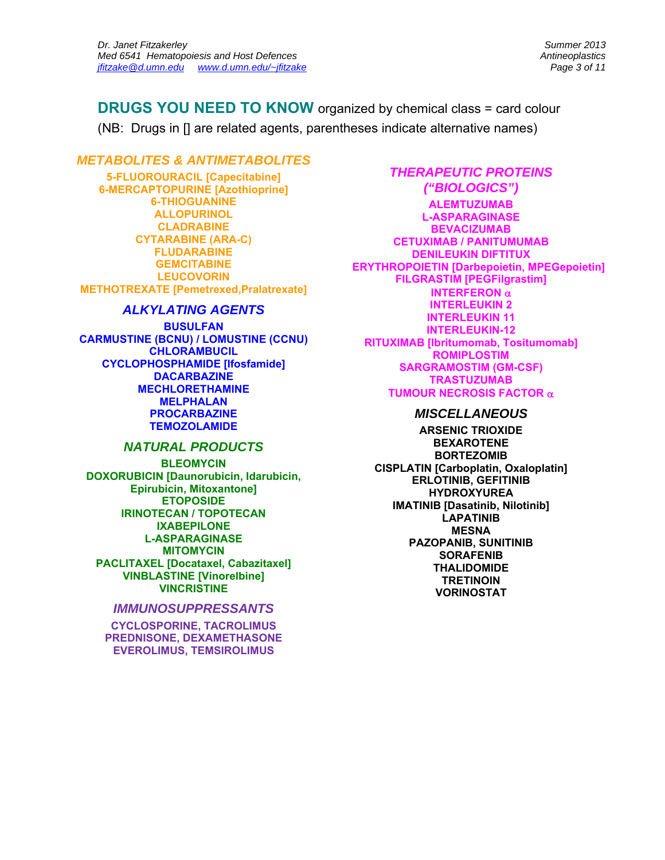**DRUGS YOU NEED TO KNOW** organized by chemical class = card colour (NB: Drugs in [] are related agents, parentheses indicate alternative names)

#### *METABOLITES & ANTIMETABOLITES*

**5-FLUOROURACIL [Capecitabine] 6-MERCAPTOPURINE [Azothioprine] 6-THIOGUANINE ALLOPURINOL CLADRABINE CYTARABINE (ARA-C) FLUDARABINE GEMCITABINE LEUCOVORIN METHOTREXATE [Pemetrexed,Pralatrexate]** 

#### *ALKYLATING AGENTS*

**BUSULFAN CARMUSTINE (BCNU) / LOMUSTINE (CCNU) CHLORAMBUCIL CYCLOPHOSPHAMIDE [Ifosfamide] DACARBAZINE MECHLORETHAMINE MELPHALAN PROCARBAZINE TEMOZOLAMIDE** 

#### *NATURAL PRODUCTS*

**BLEOMYCIN DOXORUBICIN [Daunorubicin, Idarubicin, Epirubicin, Mitoxantone] ETOPOSIDE IRINOTECAN / TOPOTECAN IXABEPILONE L-ASPARAGINASE MITOMYCIN PACLITAXEL [Docataxel, Cabazitaxel] VINBLASTINE [Vinorelbine] VINCRISTINE**

#### *IMMUNOSUPPRESSANTS*

**CYCLOSPORINE, TACROLIMUS PREDNISONE, DEXAMETHASONE EVEROLIMUS, TEMSIROLIMUS** 

### *THERAPEUTIC PROTEINS ("BIOLOGICS")*

**ALEMTUZUMAB L-ASPARAGINASE BEVACIZUMAB CETUXIMAB / PANITUMUMAB DENILEUKIN DIFTITUX ERYTHROPOIETIN [Darbepoietin, MPEGepoietin] FILGRASTIM [PEGFilgrastim] INTERFERON INTERLEUKIN 2 INTERLEUKIN 11 INTERLEUKIN-12 RITUXIMAB [Ibritumomab, Tositumomab] ROMIPLOSTIM SARGRAMOSTIM (GM-CSF) TRASTUZUMAB TUMOUR NECROSIS FACTOR** 

#### *MISCELLANEOUS*

**ARSENIC TRIOXIDE BEXAROTENE BORTEZOMIB CISPLATIN [Carboplatin, Oxaloplatin] ERLOTINIB, GEFITINIB HYDROXYUREA IMATINIB [Dasatinib, Nilotinib] LAPATINIB MESNA PAZOPANIB, SUNITINIB SORAFENIB THALIDOMIDE TRETINOIN VORINOSTAT**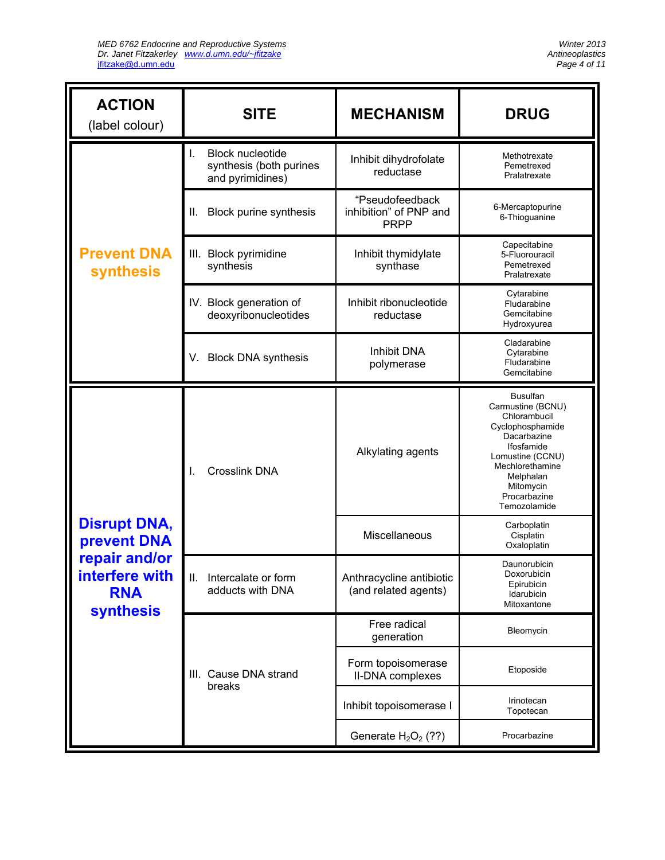| <b>ACTION</b><br>(label colour)                                   | <b>SITE</b>                                                                  | <b>MECHANISM</b>                                         | <b>DRUG</b>                                                                                                                                                                                            |
|-------------------------------------------------------------------|------------------------------------------------------------------------------|----------------------------------------------------------|--------------------------------------------------------------------------------------------------------------------------------------------------------------------------------------------------------|
|                                                                   | <b>Block nucleotide</b><br>L.<br>synthesis (both purines<br>and pyrimidines) | Inhibit dihydrofolate<br>reductase                       | Methotrexate<br>Pemetrexed<br>Pralatrexate                                                                                                                                                             |
|                                                                   | <b>Block purine synthesis</b><br>н.                                          | "Pseudofeedback<br>inhibition" of PNP and<br><b>PRPP</b> | 6-Mercaptopurine<br>6-Thioguanine                                                                                                                                                                      |
| <b>Prevent DNA</b><br><b>synthesis</b>                            | III. Block pyrimidine<br>synthesis                                           | Inhibit thymidylate<br>synthase                          | Capecitabine<br>5-Fluorouracil<br>Pemetrexed<br>Pralatrexate                                                                                                                                           |
|                                                                   | IV. Block generation of<br>deoxyribonucleotides                              | Inhibit ribonucleotide<br>reductase                      | Cytarabine<br>Fludarabine<br>Gemcitabine<br>Hydroxyurea                                                                                                                                                |
|                                                                   | <b>Block DNA synthesis</b><br>V.                                             | <b>Inhibit DNA</b><br>polymerase                         | Cladarabine<br>Cytarabine<br>Fludarabine<br>Gemcitabine                                                                                                                                                |
|                                                                   | <b>Crosslink DNA</b>                                                         | Alkylating agents                                        | <b>Busulfan</b><br>Carmustine (BCNU)<br>Chlorambucil<br>Cyclophosphamide<br>Dacarbazine<br>Ifosfamide<br>Lomustine (CCNU)<br>Mechlorethamine<br>Melphalan<br>Mitomycin<br>Procarbazine<br>Temozolamide |
| <b>Disrupt DNA,</b><br><b>prevent DNA</b>                         |                                                                              | Miscellaneous                                            | Carboplatin<br>Cisplatin<br>Oxaloplatin                                                                                                                                                                |
| repair and/or<br>interfere with<br><b>RNA</b><br><b>synthesis</b> | Ш.<br>Intercalate or form<br>adducts with DNA                                | Anthracycline antibiotic<br>(and related agents)         | Daunorubicin<br>Doxorubicin<br>Epirubicin<br>Idarubicin<br>Mitoxantone                                                                                                                                 |
|                                                                   |                                                                              | Free radical<br>generation                               | Bleomycin                                                                                                                                                                                              |
|                                                                   | III. Cause DNA strand<br>breaks                                              | Form topoisomerase<br>II-DNA complexes                   | Etoposide                                                                                                                                                                                              |
|                                                                   |                                                                              | Inhibit topoisomerase I                                  | Irinotecan<br>Topotecan                                                                                                                                                                                |
|                                                                   |                                                                              | Generate $H2O2$ (??)                                     | Procarbazine                                                                                                                                                                                           |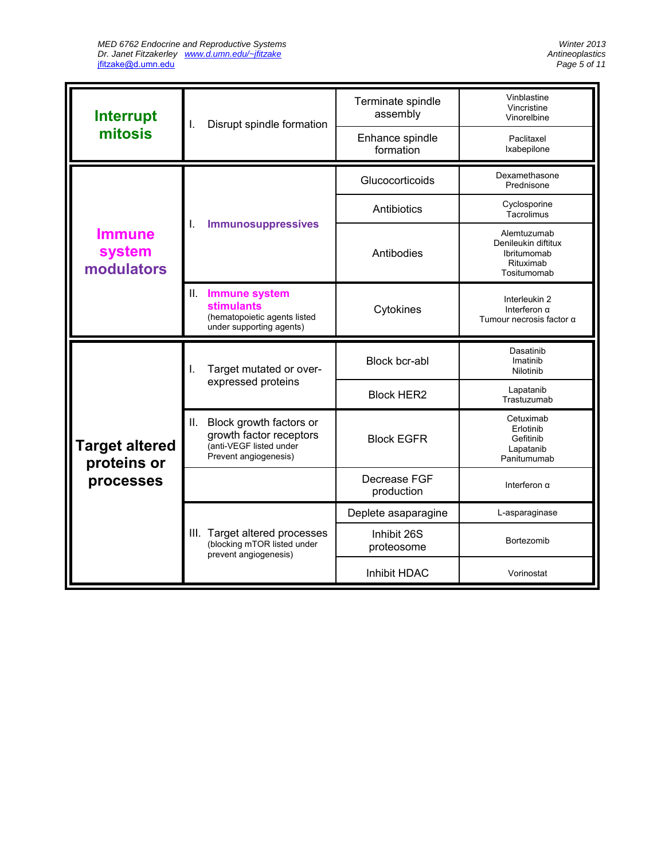| <b>Interrupt</b>                                  |                                                                                                                                                                     | Disrupt spindle formation                                                                             | Terminate spindle<br>assembly | Vinblastine<br>Vincristine<br>Vinorelbine                                     |
|---------------------------------------------------|---------------------------------------------------------------------------------------------------------------------------------------------------------------------|-------------------------------------------------------------------------------------------------------|-------------------------------|-------------------------------------------------------------------------------|
| mitosis                                           | ı.                                                                                                                                                                  |                                                                                                       | Enhance spindle<br>formation  | Paclitaxel<br>Ixabepilone                                                     |
|                                                   |                                                                                                                                                                     |                                                                                                       | Glucocorticoids               | Dexamethasone<br>Prednisone                                                   |
|                                                   |                                                                                                                                                                     |                                                                                                       | Antibiotics                   | Cyclosporine<br>Tacrolimus                                                    |
| <b>Immune</b><br>system<br>modulators             | <b>Immunosuppressives</b><br>ı.                                                                                                                                     |                                                                                                       | Antibodies                    | Alemtuzumab<br>Denileukin diftitux<br>Ibritumomab<br>Rituximab<br>Tositumomab |
|                                                   | Ш.                                                                                                                                                                  | <b>Immune system</b><br><b>stimulants</b><br>(hematopoietic agents listed<br>under supporting agents) | Cytokines                     | Interleukin 2<br>Interferon $\alpha$<br>Tumour necrosis factor $\alpha$       |
| <b>Target altered</b><br>proteins or<br>processes | Target mutated or over-<br>I.<br>expressed proteins<br>Block growth factors or<br>Ш.<br>growth factor receptors<br>(anti-VEGF listed under<br>Prevent angiogenesis) |                                                                                                       | Block bcr-abl                 | Dasatinib<br>Imatinib<br>Nilotinib                                            |
|                                                   |                                                                                                                                                                     |                                                                                                       | <b>Block HER2</b>             | Lapatanib<br>Trastuzumab                                                      |
|                                                   |                                                                                                                                                                     |                                                                                                       | <b>Block EGFR</b>             | Cetuximab<br>Erlotinib<br>Gefitinib<br>Lapatanib<br>Panitumumab               |
|                                                   |                                                                                                                                                                     |                                                                                                       | Decrease FGF<br>production    | Interferon $\alpha$                                                           |
|                                                   |                                                                                                                                                                     |                                                                                                       | Deplete asaparagine           | L-asparaginase                                                                |
|                                                   |                                                                                                                                                                     | III. Target altered processes<br>(blocking mTOR listed under<br>prevent angiogenesis)                 | Inhibit 26S<br>proteosome     | Bortezomib                                                                    |
|                                                   |                                                                                                                                                                     |                                                                                                       | Inhibit HDAC                  | Vorinostat                                                                    |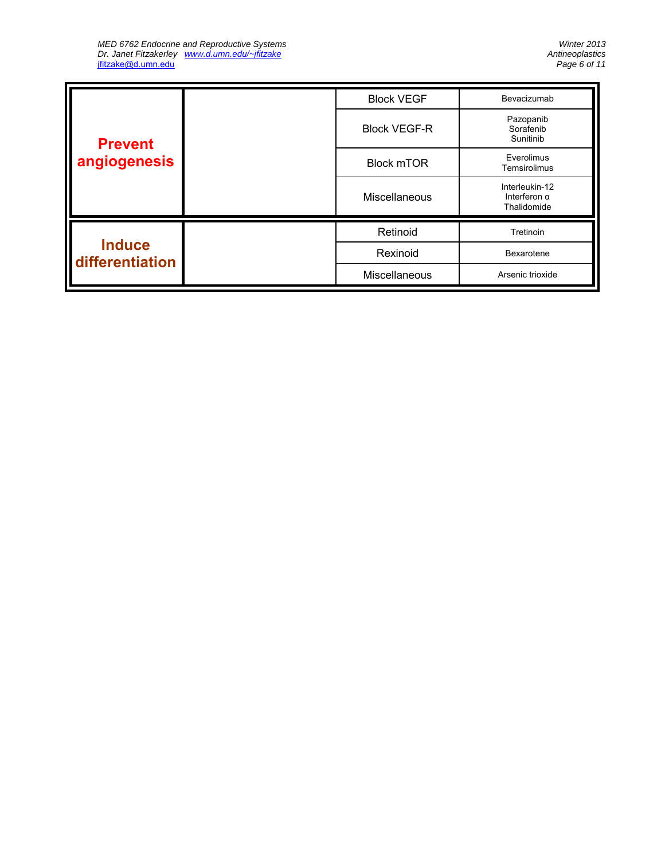| <b>Prevent</b><br>angiogenesis   | <b>Block VEGF</b>   | Bevacizumab                         |                                                      |
|----------------------------------|---------------------|-------------------------------------|------------------------------------------------------|
|                                  | <b>Block VEGF-R</b> | Pazopanib<br>Sorafenib<br>Sunitinib |                                                      |
|                                  | <b>Block mTOR</b>   | Everolimus<br>Temsirolimus          |                                                      |
|                                  |                     | Miscellaneous                       | Interleukin-12<br>Interferon $\alpha$<br>Thalidomide |
| <b>Induce</b><br>differentiation |                     | Retinoid                            | Tretinoin                                            |
|                                  |                     | Rexinoid                            | Bexarotene                                           |
|                                  |                     | Miscellaneous                       | Arsenic trioxide                                     |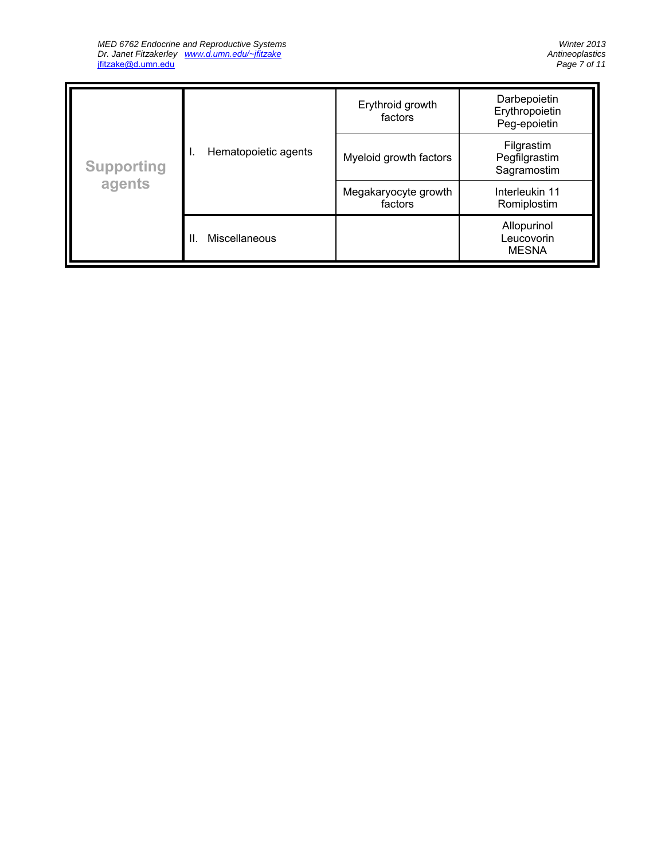| <b>Supporting</b><br>agents |                      | Erythroid growth<br>factors     | Darbepoietin<br>Erythropoietin<br>Peg-epoietin |
|-----------------------------|----------------------|---------------------------------|------------------------------------------------|
|                             | Hematopoietic agents | Myeloid growth factors          | Filgrastim<br>Pegfilgrastim<br>Sagramostim     |
|                             |                      | Megakaryocyte growth<br>factors | Interleukin 11<br>Romiplostim                  |
|                             | Miscellaneous<br>ΙΙ. |                                 | Allopurinol<br>Leucovorin<br><b>MESNA</b>      |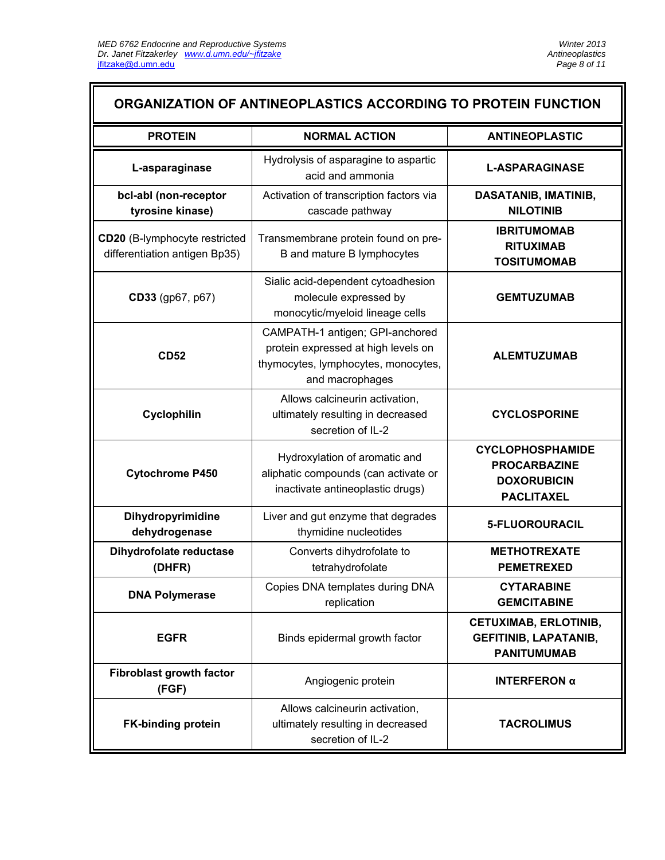#### **ORGANIZATION OF ANTINEOPLASTICS ACCORDING TO PROTEIN FUNCTION PROTEIN NORMAL ACTION ANTINEOPLASTIC**  L-asparaginase **Hydrolysis of asparagine to aspartic**<br>acid and ammonia acid and ammonia **L-ASPARAGINASE bcl-abl (non-receptor tyrosine kinase)**  Activation of transcription factors via cascade pathway **DASATANIB, IMATINIB, NILOTINIB CD20** (B-lymphocyte restricted differentiation antigen Bp35) Transmembrane protein found on pre-B and mature B lymphocytes **IBRITUMOMAB RITUXIMAB TOSITUMOMAB CD33** (gp67, p67) Sialic acid-dependent cytoadhesion molecule expressed by monocytic/myeloid lineage cells **GEMTUZUMAB CD52**  CAMPATH-1 antigen; GPI-anchored protein expressed at high levels on thymocytes, lymphocytes, monocytes, and macrophages **ALEMTUZUMAB Cyclophilin**  Allows calcineurin activation, ultimately resulting in decreased secretion of IL-2 **CYCLOSPORINE Cytochrome P450**  Hydroxylation of aromatic and aliphatic compounds (can activate or inactivate antineoplastic drugs) **CYCLOPHOSPHAMIDE PROCARBAZINE DOXORUBICIN PACLITAXEL Dihydropyrimidine dehydrogenase**  Liver and gut enzyme that degrades thymidine nucleotides **5-FLUOROURACIL Dihydrofolate reductase (DHFR)**  Converts dihydrofolate to tetrahydrofolate **METHOTREXATE PEMETREXED DNA Polymerase Copies DNA templates during DNA** replication **CYTARABINE GEMCITABINE EGFR Binds epidermal growth factor CETUXIMAB, ERLOTINIB, GEFITINIB, LAPATANIB, PANITUMUMAB Fibroblast growth factor (FGF)** Angiogenic protein **INTERFERON <sup>α</sup> FK-binding protein**  Allows calcineurin activation, ultimately resulting in decreased secretion of IL-2 **TACROLIMUS**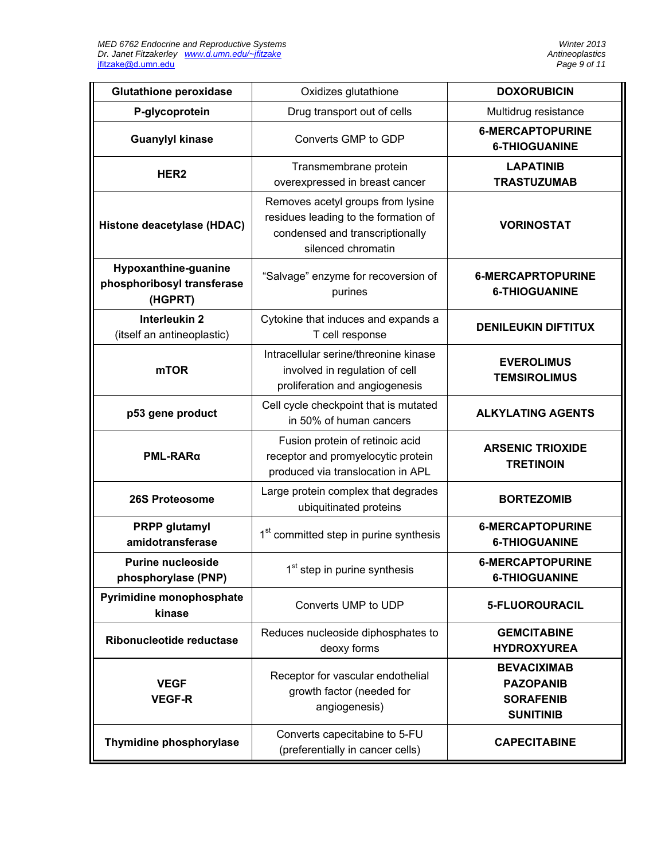| <b>Glutathione peroxidase</b>                                                 | Oxidizes glutathione                                                                                                               | <b>DOXORUBICIN</b>                                                             |
|-------------------------------------------------------------------------------|------------------------------------------------------------------------------------------------------------------------------------|--------------------------------------------------------------------------------|
| P-glycoprotein                                                                | Drug transport out of cells                                                                                                        | Multidrug resistance                                                           |
| <b>Guanylyl kinase</b>                                                        | Converts GMP to GDP                                                                                                                | <b>6-MERCAPTOPURINE</b><br><b>6-THIOGUANINE</b>                                |
| HER <sub>2</sub>                                                              | Transmembrane protein<br>overexpressed in breast cancer                                                                            | <b>LAPATINIB</b><br><b>TRASTUZUMAB</b>                                         |
| Histone deacetylase (HDAC)                                                    | Removes acetyl groups from lysine<br>residues leading to the formation of<br>condensed and transcriptionally<br>silenced chromatin | <b>VORINOSTAT</b>                                                              |
| Hypoxanthine-guanine<br>phosphoribosyl transferase<br>(HGPRT)                 | "Salvage" enzyme for recoversion of<br>purines                                                                                     | <b>6-MERCAPRTOPURINE</b><br><b>6-THIOGUANINE</b>                               |
| Interleukin 2<br>(itself an antineoplastic)                                   | Cytokine that induces and expands a<br>T cell response                                                                             | <b>DENILEUKIN DIFTITUX</b>                                                     |
| <b>mTOR</b>                                                                   | Intracellular serine/threonine kinase<br>involved in regulation of cell<br>proliferation and angiogenesis                          | <b>EVEROLIMUS</b><br><b>TEMSIROLIMUS</b>                                       |
| p53 gene product                                                              | Cell cycle checkpoint that is mutated<br>in 50% of human cancers                                                                   | <b>ALKYLATING AGENTS</b>                                                       |
| $PML-RAR\alpha$                                                               | Fusion protein of retinoic acid<br>receptor and promyelocytic protein<br>produced via translocation in APL                         | <b>ARSENIC TRIOXIDE</b><br><b>TRETINOIN</b>                                    |
| 26S Proteosome                                                                | Large protein complex that degrades<br>ubiquitinated proteins                                                                      | <b>BORTEZOMIB</b>                                                              |
| <b>PRPP</b> glutamyl<br>amidotransferase                                      | 1 <sup>st</sup> committed step in purine synthesis                                                                                 | <b>6-MERCAPTOPURINE</b><br><b>6-THIOGUANINE</b>                                |
| <b>Purine nucleoside</b><br>phosphorylase (PNP)                               | 1 <sup>st</sup> step in purine synthesis                                                                                           | <b>6-MERCAPTOPURINE</b><br><b>6-THIOGUANINE</b>                                |
| Pyrimidine monophosphate<br>kinase                                            | Converts UMP to UDP                                                                                                                | 5-FLUOROURACIL                                                                 |
| Reduces nucleoside diphosphates to<br>Ribonucleotide reductase<br>deoxy forms |                                                                                                                                    | <b>GEMCITABINE</b><br><b>HYDROXYUREA</b>                                       |
| <b>VEGF</b><br><b>VEGF-R</b>                                                  | Receptor for vascular endothelial<br>growth factor (needed for<br>angiogenesis)                                                    | <b>BEVACIXIMAB</b><br><b>PAZOPANIB</b><br><b>SORAFENIB</b><br><b>SUNITINIB</b> |
| Thymidine phosphorylase                                                       | Converts capecitabine to 5-FU<br>(preferentially in cancer cells)                                                                  | <b>CAPECITABINE</b>                                                            |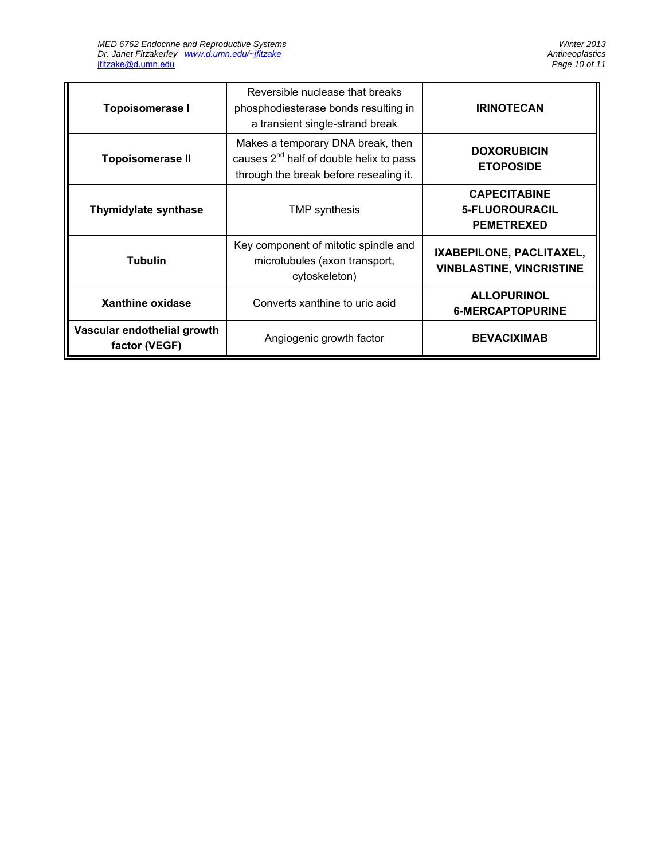| <b>Topoisomerase I</b>                       | Reversible nuclease that breaks<br>phosphodiesterase bonds resulting in<br>a transient single-strand break                  | <b>IRINOTECAN</b>                                           |
|----------------------------------------------|-----------------------------------------------------------------------------------------------------------------------------|-------------------------------------------------------------|
| <b>Topoisomerase II</b>                      | Makes a temporary DNA break, then<br>causes $2^{nd}$ half of double helix to pass<br>through the break before resealing it. | <b>DOXORUBICIN</b><br><b>ETOPOSIDE</b>                      |
| <b>Thymidylate synthase</b>                  | TMP synthesis                                                                                                               | <b>CAPECITABINE</b><br>5-FLUOROURACIL<br><b>PEMETREXED</b>  |
| <b>Tubulin</b>                               | Key component of mitotic spindle and<br>microtubules (axon transport,<br>cytoskeleton)                                      | IXABEPILONE, PACLITAXEL,<br><b>VINBLASTINE, VINCRISTINE</b> |
| Xanthine oxidase                             | Converts xanthine to uric acid                                                                                              | <b>ALLOPURINOL</b><br><b>6-MERCAPTOPURINE</b>               |
| Vascular endothelial growth<br>factor (VEGF) | Angiogenic growth factor                                                                                                    | <b>BEVACIXIMAB</b>                                          |